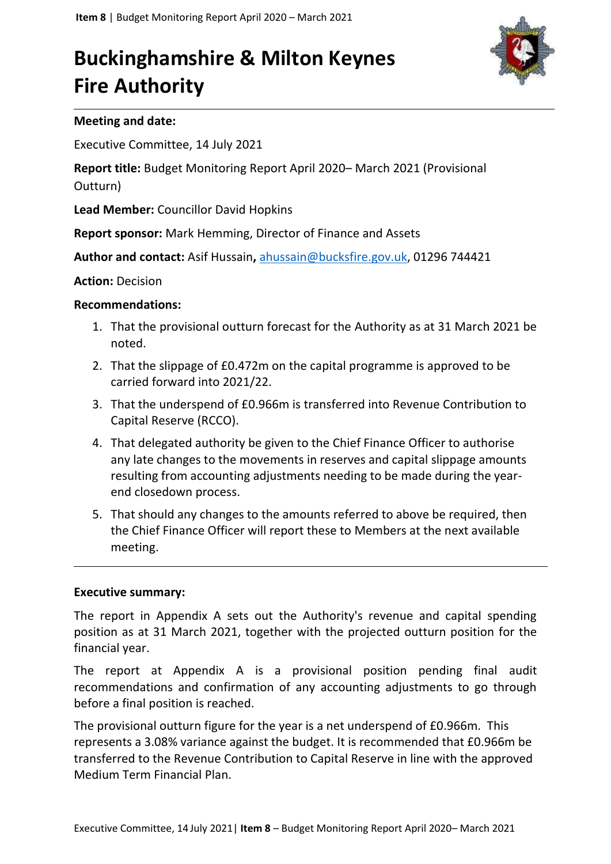# **Buckinghamshire & Milton Keynes Fire Authority**



## **Meeting and date:**

Executive Committee, 14 July 2021

**Report title:** Budget Monitoring Report April 2020– March 2021 (Provisional Outturn)

**Lead Member:** Councillor David Hopkins

**Report sponsor:** Mark Hemming, Director of Finance and Assets

**Author and contact:** Asif Hussain**,** [ahussain@bucksfire.gov.uk,](mailto:ahussain@bucksfire.gov.uk) 01296 744421

## **Action:** Decision

## **Recommendations:**

- 1. That the provisional outturn forecast for the Authority as at 31 March 2021 be noted.
- 2. That the slippage of £0.472m on the capital programme is approved to be carried forward into 2021/22.
- 3. That the underspend of £0.966m is transferred into Revenue Contribution to Capital Reserve (RCCO).
- 4. That delegated authority be given to the Chief Finance Officer to authorise any late changes to the movements in reserves and capital slippage amounts resulting from accounting adjustments needing to be made during the yearend closedown process.
- 5. That should any changes to the amounts referred to above be required, then the Chief Finance Officer will report these to Members at the next available meeting.

#### **Executive summary:**

The report in Appendix A sets out the Authority's revenue and capital spending position as at 31 March 2021, together with the projected outturn position for the financial year.

The report at Appendix A is a provisional position pending final audit recommendations and confirmation of any accounting adjustments to go through before a final position is reached.

The provisional outturn figure for the year is a net underspend of £0.966m. This represents a 3.08% variance against the budget. It is recommended that £0.966m be transferred to the Revenue Contribution to Capital Reserve in line with the approved Medium Term Financial Plan.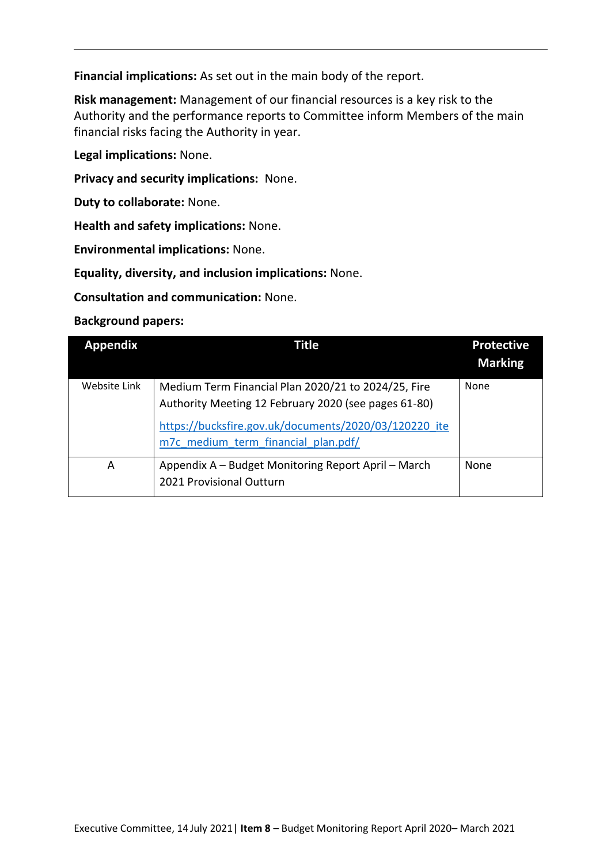**Financial implications:** As set out in the main body of the report.

**Risk management:** Management of our financial resources is a key risk to the Authority and the performance reports to Committee inform Members of the main financial risks facing the Authority in year.

**Legal implications:** None.

**Privacy and security implications:** None.

**Duty to collaborate:** None.

**Health and safety implications:** None.

**Environmental implications:** None.

**Equality, diversity, and inclusion implications:** None.

**Consultation and communication:** None.

**Background papers:**

| <b>Appendix</b> | Title                                                                                                       | <b>Protective</b><br><b>Marking</b> |
|-----------------|-------------------------------------------------------------------------------------------------------------|-------------------------------------|
| Website Link    | Medium Term Financial Plan 2020/21 to 2024/25, Fire<br>Authority Meeting 12 February 2020 (see pages 61-80) | None                                |
|                 | https://bucksfire.gov.uk/documents/2020/03/120220 ite<br>m7c medium term financial plan.pdf/                |                                     |
| Α               | Appendix A – Budget Monitoring Report April – March<br>2021 Provisional Outturn                             | None                                |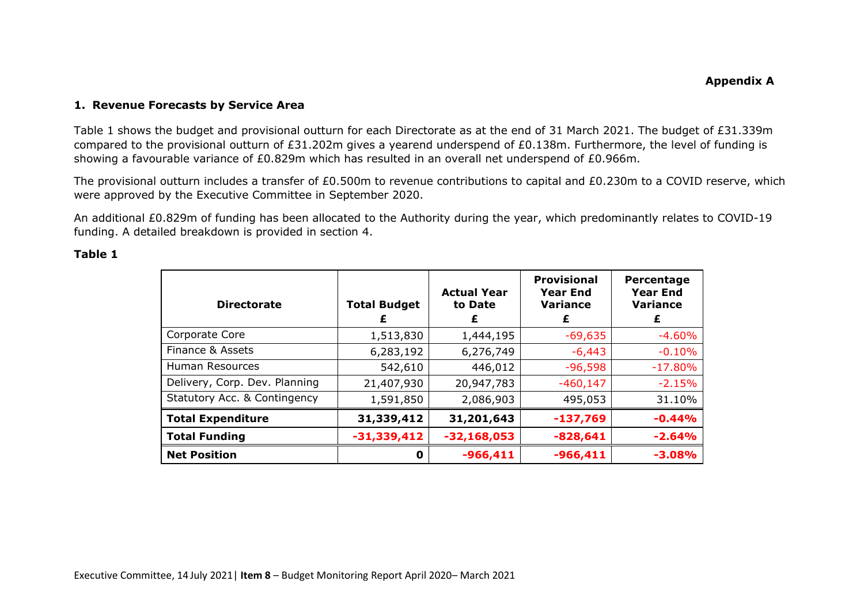#### **1. Revenue Forecasts by Service Area**

Table 1 shows the budget and provisional outturn for each Directorate as at the end of 31 March 2021. The budget of £31.339m compared to the provisional outturn of £31.202m gives a yearend underspend of £0.138m. Furthermore, the level of funding is showing a favourable variance of £0.829m which has resulted in an overall net underspend of £0.966m.

The provisional outturn includes a transfer of £0.500m to revenue contributions to capital and £0.230m to a COVID reserve, which were approved by the Executive Committee in September 2020.

An additional £0.829m of funding has been allocated to the Authority during the year, which predominantly relates to COVID-19 funding. A detailed breakdown is provided in section 4.

| . .<br>۰.<br>۰.<br>× |  |
|----------------------|--|
|----------------------|--|

| <b>Directorate</b>            | <b>Total Budget</b><br>£ | <b>Actual Year</b><br>to Date<br>£ | <b>Provisional</b><br><b>Year End</b><br><b>Variance</b><br>£ | Percentage<br><b>Year End</b><br><b>Variance</b><br>£ |
|-------------------------------|--------------------------|------------------------------------|---------------------------------------------------------------|-------------------------------------------------------|
| Corporate Core                | 1,513,830                | 1,444,195                          | $-69,635$                                                     | $-4.60%$                                              |
| Finance & Assets              | 6,283,192                | 6,276,749                          | $-6,443$                                                      | $-0.10%$                                              |
| Human Resources               | 542,610                  | 446,012                            | $-96,598$                                                     | $-17.80%$                                             |
| Delivery, Corp. Dev. Planning | 21,407,930               | 20,947,783                         | $-460,147$                                                    | $-2.15%$                                              |
| Statutory Acc. & Contingency  | 1,591,850                | 2,086,903                          | 495,053                                                       | 31.10%                                                |
| <b>Total Expenditure</b>      | 31,339,412               | 31,201,643                         | $-137,769$                                                    | $-0.44%$                                              |
| <b>Total Funding</b>          | $-31,339,412$            | $-32,168,053$                      | $-828,641$                                                    | $-2.64%$                                              |
| <b>Net Position</b>           | O                        | $-966,411$                         | $-966,411$                                                    | $-3.08%$                                              |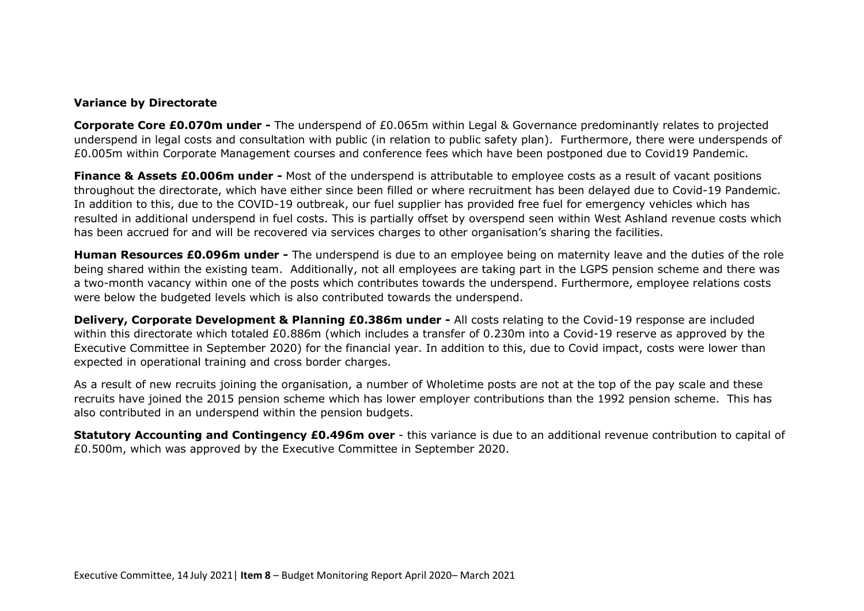#### **Variance by Directorate**

**Corporate Core £0.070m under -** The underspend of £0.065m within Legal & Governance predominantly relates to projected underspend in legal costs and consultation with public (in relation to public safety plan). Furthermore, there were underspends of £0.005m within Corporate Management courses and conference fees which have been postponed due to Covid19 Pandemic.

**Finance & Assets £0.006m under -** Most of the underspend is attributable to employee costs as a result of vacant positions throughout the directorate, which have either since been filled or where recruitment has been delayed due to Covid-19 Pandemic. In addition to this, due to the COVID-19 outbreak, our fuel supplier has provided free fuel for emergency vehicles which has resulted in additional underspend in fuel costs. This is partially offset by overspend seen within West Ashland revenue costs which has been accrued for and will be recovered via services charges to other organisation's sharing the facilities.

**Human Resources £0.096m under -** The underspend is due to an employee being on maternity leave and the duties of the role being shared within the existing team. Additionally, not all employees are taking part in the LGPS pension scheme and there was a two-month vacancy within one of the posts which contributes towards the underspend. Furthermore, employee relations costs were below the budgeted levels which is also contributed towards the underspend.

**Delivery, Corporate Development & Planning £0.386m under -** All costs relating to the Covid-19 response are included within this directorate which totaled £0.886m (which includes a transfer of 0.230m into a Covid-19 reserve as approved by the Executive Committee in September 2020) for the financial year. In addition to this, due to Covid impact, costs were lower than expected in operational training and cross border charges.

As a result of new recruits joining the organisation, a number of Wholetime posts are not at the top of the pay scale and these recruits have joined the 2015 pension scheme which has lower employer contributions than the 1992 pension scheme. This has also contributed in an underspend within the pension budgets.

**Statutory Accounting and Contingency £0.496m over** - this variance is due to an additional revenue contribution to capital of £0.500m, which was approved by the Executive Committee in September 2020.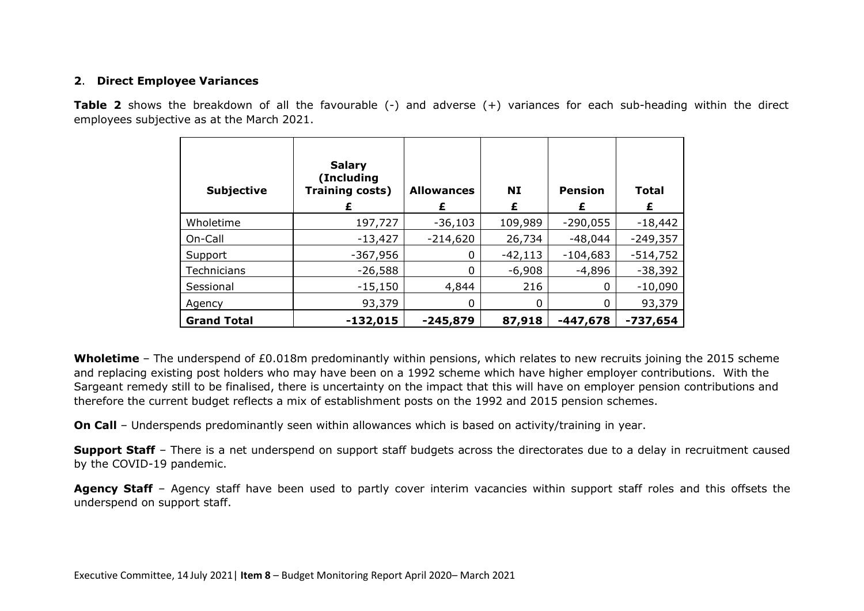#### **2**. **Direct Employee Variances**

**Table 2** shows the breakdown of all the favourable (-) and adverse (+) variances for each sub-heading within the direct employees subjective as at the March 2021.

| <b>Subjective</b>  | <b>Salary</b><br>(Including<br>Training costs)<br>£ | <b>Allowances</b><br>£ | <b>NI</b><br>£ | <b>Pension</b><br>£ | <b>Total</b><br>£ |
|--------------------|-----------------------------------------------------|------------------------|----------------|---------------------|-------------------|
| Wholetime          | 197,727                                             | $-36,103$              | 109,989        | $-290,055$          | $-18,442$         |
| On-Call            | $-13,427$                                           | $-214,620$             | 26,734         | $-48,044$           | $-249,357$        |
| Support            | $-367,956$                                          | 0                      | $-42,113$      | $-104,683$          | $-514,752$        |
| Technicians        | $-26,588$                                           | 0                      | $-6,908$       | $-4,896$            | $-38,392$         |
| Sessional          | $-15,150$                                           | 4,844                  | 216            | 0                   | $-10,090$         |
| Agency             | 93,379                                              | 0                      | 0              | 0                   | 93,379            |
| <b>Grand Total</b> | $-132,015$                                          | $-245,879$             | 87,918         | $-447,678$          | $-737,654$        |

**Wholetime** – The underspend of £0.018m predominantly within pensions, which relates to new recruits joining the 2015 scheme and replacing existing post holders who may have been on a 1992 scheme which have higher employer contributions. With the Sargeant remedy still to be finalised, there is uncertainty on the impact that this will have on employer pension contributions and therefore the current budget reflects a mix of establishment posts on the 1992 and 2015 pension schemes.

**On Call** – Underspends predominantly seen within allowances which is based on activity/training in year.

**Support Staff** – There is a net underspend on support staff budgets across the directorates due to a delay in recruitment caused by the COVID-19 pandemic.

**Agency Staff** – Agency staff have been used to partly cover interim vacancies within support staff roles and this offsets the underspend on support staff.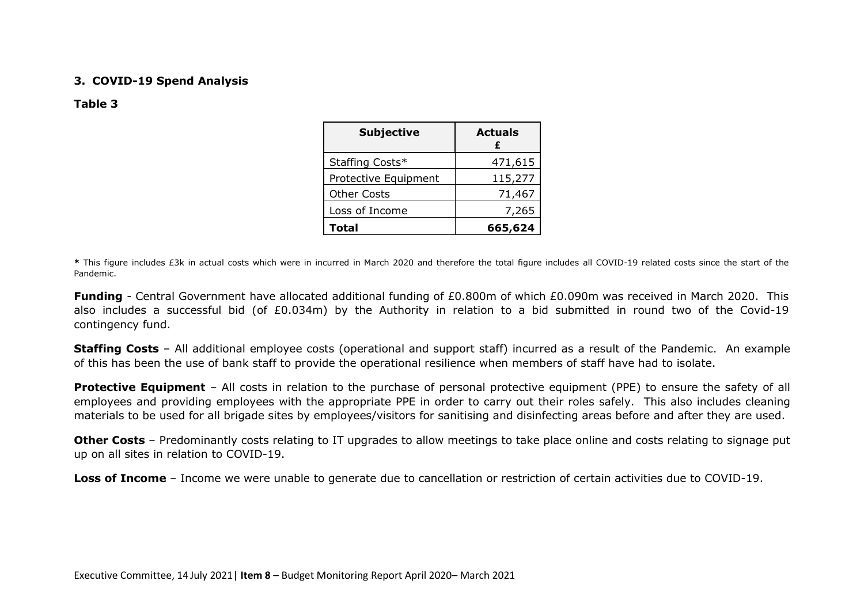#### **3. COVID-19 Spend Analysis**

#### **Table 3**

| <b>Subjective</b>    | <b>Actuals</b><br>f |
|----------------------|---------------------|
| Staffing Costs*      | 471,615             |
| Protective Equipment | 115,277             |
| <b>Other Costs</b>   | 71,467              |
| Loss of Income       | 7,265               |
| Total                | 665,624             |

**\*** This figure includes £3k in actual costs which were in incurred in March 2020 and therefore the total figure includes all COVID-19 related costs since the start of the Pandemic.

**Funding** - Central Government have allocated additional funding of £0.800m of which £0.090m was received in March 2020. This also includes a successful bid (of £0.034m) by the Authority in relation to a bid submitted in round two of the Covid-19 contingency fund.

**Staffing Costs** – All additional employee costs (operational and support staff) incurred as a result of the Pandemic. An example of this has been the use of bank staff to provide the operational resilience when members of staff have had to isolate.

**Protective Equipment** – All costs in relation to the purchase of personal protective equipment (PPE) to ensure the safety of all employees and providing employees with the appropriate PPE in order to carry out their roles safely. This also includes cleaning materials to be used for all brigade sites by employees/visitors for sanitising and disinfecting areas before and after they are used.

**Other Costs** – Predominantly costs relating to IT upgrades to allow meetings to take place online and costs relating to signage put up on all sites in relation to COVID-19.

**Loss of Income** – Income we were unable to generate due to cancellation or restriction of certain activities due to COVID-19.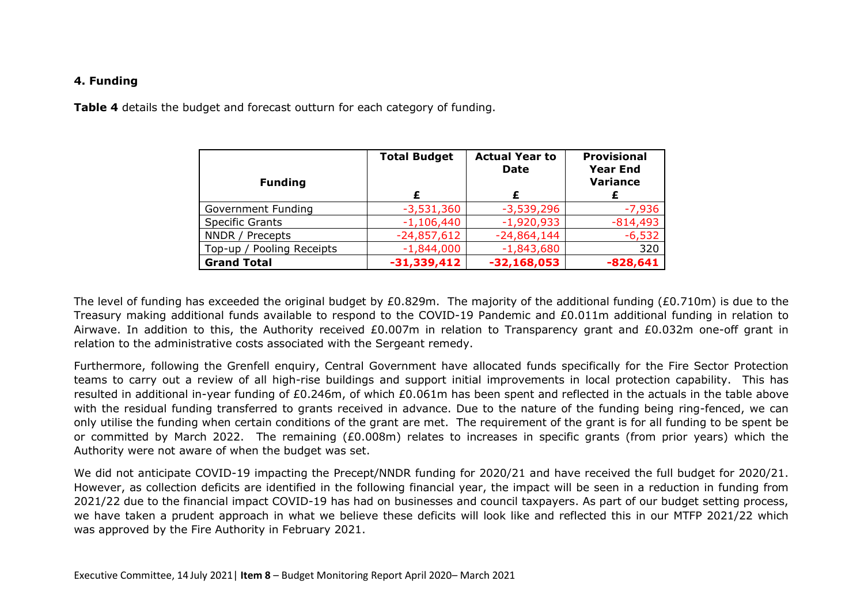#### **4. Funding**

**Table 4** details the budget and forecast outturn for each category of funding.

| <b>Funding</b>            | <b>Total Budget</b> | <b>Actual Year to</b><br><b>Date</b> | <b>Provisional</b><br><b>Year End</b><br><b>Variance</b> |
|---------------------------|---------------------|--------------------------------------|----------------------------------------------------------|
|                           | £                   | £                                    | £                                                        |
| Government Funding        | $-3,531,360$        | $-3,539,296$                         | $-7,936$                                                 |
| <b>Specific Grants</b>    | $-1,106,440$        | $-1,920,933$                         | $-814,493$                                               |
| NNDR / Precepts           | $-24,857,612$       | $-24,864,144$                        | $-6,532$                                                 |
| Top-up / Pooling Receipts | $-1,844,000$        | $-1,843,680$                         | 320                                                      |
| <b>Grand Total</b>        | $-31,339,412$       | $-32,168,053$                        | $-828,641$                                               |

The level of funding has exceeded the original budget by £0.829m. The majority of the additional funding (£0.710m) is due to the Treasury making additional funds available to respond to the COVID-19 Pandemic and £0.011m additional funding in relation to Airwave. In addition to this, the Authority received £0.007m in relation to Transparency grant and £0.032m one-off grant in relation to the administrative costs associated with the Sergeant remedy.

Furthermore, following the Grenfell enquiry, Central Government have allocated funds specifically for the Fire Sector Protection teams to carry out a review of all high-rise buildings and support initial improvements in local protection capability. This has resulted in additional in-year funding of £0.246m, of which £0.061m has been spent and reflected in the actuals in the table above with the residual funding transferred to grants received in advance. Due to the nature of the funding being ring-fenced, we can only utilise the funding when certain conditions of the grant are met. The requirement of the grant is for all funding to be spent be or committed by March 2022. The remaining (£0.008m) relates to increases in specific grants (from prior years) which the Authority were not aware of when the budget was set.

We did not anticipate COVID-19 impacting the Precept/NNDR funding for 2020/21 and have received the full budget for 2020/21. However, as collection deficits are identified in the following financial year, the impact will be seen in a reduction in funding from 2021/22 due to the financial impact COVID-19 has had on businesses and council taxpayers. As part of our budget setting process, we have taken a prudent approach in what we believe these deficits will look like and reflected this in our MTFP 2021/22 which was approved by the Fire Authority in February 2021.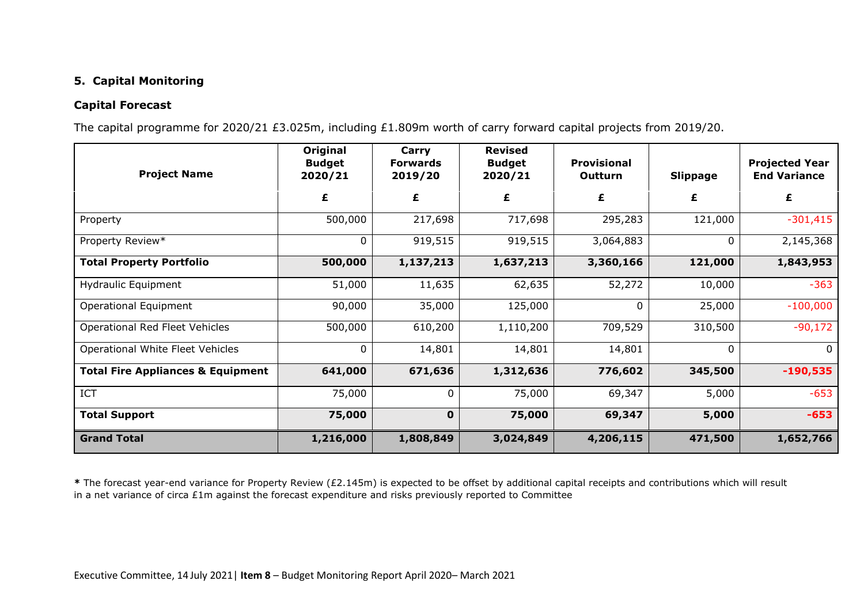## **5. Capital Monitoring**

#### **Capital Forecast**

The capital programme for 2020/21 £3.025m, including £1.809m worth of carry forward capital projects from 2019/20.

| <b>Project Name</b>                          | Original<br><b>Budget</b><br>2020/21 | Carry<br><b>Forwards</b><br>2019/20 | <b>Revised</b><br><b>Budget</b><br>2020/21 | <b>Provisional</b><br>Outturn | <b>Slippage</b> | <b>Projected Year</b><br><b>End Variance</b> |
|----------------------------------------------|--------------------------------------|-------------------------------------|--------------------------------------------|-------------------------------|-----------------|----------------------------------------------|
|                                              | £                                    | £                                   | £                                          | £                             | £               | £                                            |
| Property                                     | 500,000                              | 217,698                             | 717,698                                    | 295,283                       | 121,000         | $-301,415$                                   |
| Property Review*                             | $\boldsymbol{0}$                     | 919,515                             | 919,515                                    | 3,064,883                     | 0               | 2,145,368                                    |
| <b>Total Property Portfolio</b>              | 500,000                              | 1,137,213                           | 1,637,213                                  | 3,360,166                     | 121,000         | 1,843,953                                    |
| Hydraulic Equipment                          | 51,000                               | 11,635                              | 62,635                                     | 52,272                        | 10,000          | $-363$                                       |
| Operational Equipment                        | 90,000                               | 35,000                              | 125,000                                    | 0                             | 25,000          | $-100,000$                                   |
| Operational Red Fleet Vehicles               | 500,000                              | 610,200                             | 1,110,200                                  | 709,529                       | 310,500         | $-90,172$                                    |
| Operational White Fleet Vehicles             | 0                                    | 14,801                              | 14,801                                     | 14,801                        | $\mathbf{0}$    | $\overline{0}$                               |
| <b>Total Fire Appliances &amp; Equipment</b> | 641,000                              | 671,636                             | 1,312,636                                  | 776,602                       | 345,500         | $-190,535$                                   |
| ICT                                          | 75,000                               | 0                                   | 75,000                                     | 69,347                        | 5,000           | $-653$                                       |
| <b>Total Support</b>                         | 75,000                               | $\mathbf 0$                         | 75,000                                     | 69,347                        | 5,000           | $-653$                                       |
| <b>Grand Total</b>                           | 1,216,000                            | 1,808,849                           | 3,024,849                                  | 4,206,115                     | 471,500         | 1,652,766                                    |

**\*** The forecast year-end variance for Property Review (£2.145m) is expected to be offset by additional capital receipts and contributions which will result in a net variance of circa £1m against the forecast expenditure and risks previously reported to Committee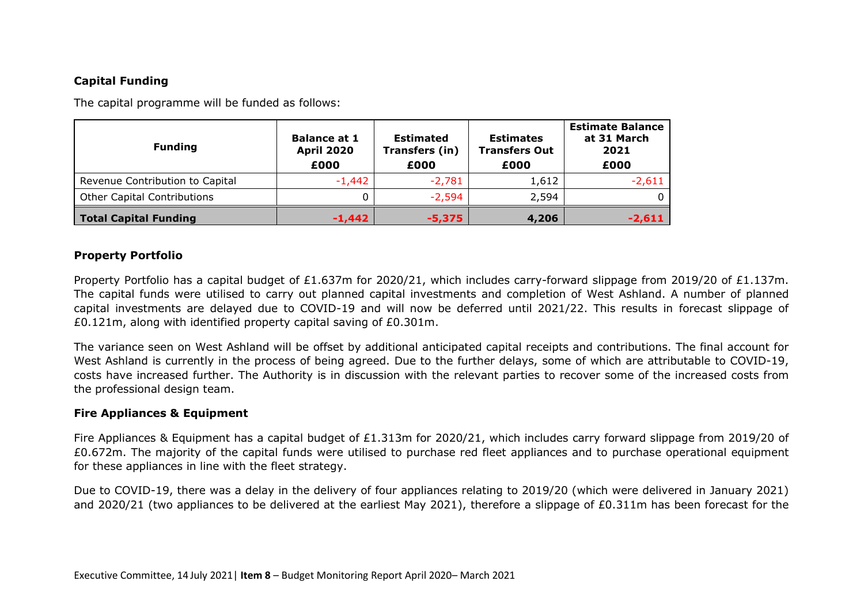## **Capital Funding**

The capital programme will be funded as follows:

| <b>Funding</b>                  | <b>Balance at 1</b><br><b>April 2020</b><br>£000 | <b>Estimated</b><br>Transfers (in)<br>£000 | <b>Estimates</b><br><b>Transfers Out</b><br>£000 | <b>Estimate Balance</b><br>at 31 March<br>2021<br>£000 |
|---------------------------------|--------------------------------------------------|--------------------------------------------|--------------------------------------------------|--------------------------------------------------------|
| Revenue Contribution to Capital | $-1,442$                                         | $-2,781$                                   | 1,612                                            | $-2,611$                                               |
| Other Capital Contributions     |                                                  | $-2,594$                                   | 2,594                                            |                                                        |
| Total Capital Funding           | $-1.442$                                         | $-5,375$                                   | 4,206                                            | $-2,611$                                               |

### **Property Portfolio**

Property Portfolio has a capital budget of £1.637m for 2020/21, which includes carry-forward slippage from 2019/20 of £1.137m. The capital funds were utilised to carry out planned capital investments and completion of West Ashland. A number of planned capital investments are delayed due to COVID-19 and will now be deferred until 2021/22. This results in forecast slippage of £0.121m, along with identified property capital saving of £0.301m.

The variance seen on West Ashland will be offset by additional anticipated capital receipts and contributions. The final account for West Ashland is currently in the process of being agreed. Due to the further delays, some of which are attributable to COVID-19, costs have increased further. The Authority is in discussion with the relevant parties to recover some of the increased costs from the professional design team.

#### **Fire Appliances & Equipment**

Fire Appliances & Equipment has a capital budget of £1.313m for 2020/21, which includes carry forward slippage from 2019/20 of £0.672m. The majority of the capital funds were utilised to purchase red fleet appliances and to purchase operational equipment for these appliances in line with the fleet strategy.

Due to COVID-19, there was a delay in the delivery of four appliances relating to 2019/20 (which were delivered in January 2021) and 2020/21 (two appliances to be delivered at the earliest May 2021), therefore a slippage of £0.311m has been forecast for the